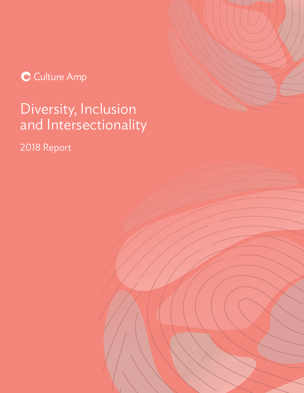C Culture Amp

## Diversity, Inclusion and Intersectionality

2018 Report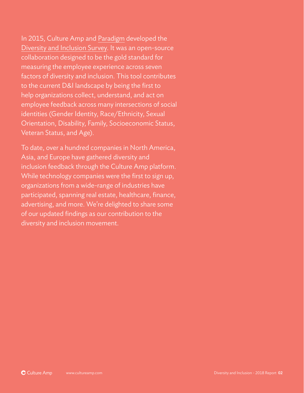In 2015, Culture Amp and [Paradigm](https://www.paradigmiq.com/) developed the [Diversity and Inclusion Survey](http://cultureamp.com/diversity-inclusion). It was an open-source collaboration designed to be the gold standard for measuring the employee experience across seven factors of diversity and inclusion. This tool contributes to the current D&I landscape by being the first to help organizations collect, understand, and act on employee feedback across many intersections of social identities (Gender Identity, Race/Ethnicity, Sexual Orientation, Disability, Family, Socioeconomic Status, Veteran Status, and Age).

To date, over a hundred companies in North America, Asia, and Europe have gathered diversity and inclusion feedback through the Culture Amp platform. While technology companies were the first to sign up, organizations from a wide-range of industries have participated, spanning real estate, healthcare, finance, advertising, and more. We're delighted to share some of our updated findings as our contribution to the diversity and inclusion movement.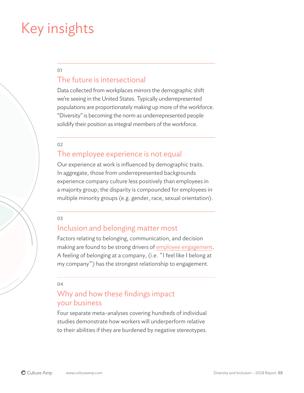### Key insights

01

### The future is intersectional

Data collected from workplaces mirrors the demographic shift we're seeing in the United States. Typically underrepresented populations are proportionately making up more of the workforce. "Diversity" is becoming the norm as underrepresented people solidify their position as integral members of the workforce.

02

### The employee experience is not equal

Our experience at work is influenced by demographic traits. In aggregate, those from underrepresented backgrounds experience company culture less positively than employees in a majority group; the disparity is compounded for employees in multiple minority groups (e.g. gender, race, sexual orientation).

03

#### Inclusion and belonging matter most

Factors relating to belonging, communication, and decision making are found to be strong drivers of [employee engagement.](https://blog.cultureamp.com/what-is-employee-engagement) A feeling of belonging at a company, (i.e. "I feel like I belong at my company") has the strongest relationship to engagement.

04

### Why and how these findings impact your business

Four separate meta-analyses covering hundreds of individual studies demonstrate how workers will underperform relative to their abilities if they are burdened by negative stereotypes.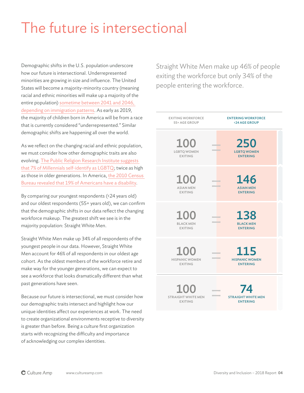# The future is intersectional

Demographic shifts in the U.S. population underscore how our future is intersectional. Underrepresented minorities are growing in size and influence. The United States will become a majority-minority country (meaning racial and ethnic minorities will make up a majority of the entire population) [sometime between 2041 and 2046,](https://www.census.gov/data/tables/2012/demo/popproj/2012-summary-tables.html)  [depending on immigration patterns.](https://www.census.gov/data/tables/2012/demo/popproj/2012-summary-tables.html) As early as 2019, the majority of children born in America will be from a race that is currently considered "underrepresented." Similar demographic shifts are happening all over the world.

As we reflect on the changing racial and ethnic population, we must consider how other demographic traits are also evolving. [The Public Religion Research Institute suggests](https://www.prri.org/wp-content/uploads/2015/03/PRRI-Millennials-Web-FINAL.pdf)  [that 7% of Millennials self-identify as LGBTQ](https://www.prri.org/wp-content/uploads/2015/03/PRRI-Millennials-Web-FINAL.pdf); twice as high as those in older generations. In America, [the 2010 Census](https://www.census.gov/newsroom/releases/archives/miscellaneous/cb12-134.html)  [Bureau revealed that 19% of Americans have a disability](https://www.census.gov/newsroom/releases/archives/miscellaneous/cb12-134.html).

By comparing our youngest respondents (<24 years old) and our oldest respondents (55+ years old), we can confirm that the demographic shifts in our data reflect the changing workforce makeup. The greatest shift we see is in the majority population: Straight White Men.

Straight White Men make up 34% of all respondents of the youngest people in our data. However, Straight White Men account for 46% of all respondents in our oldest age cohort. As the oldest members of the workforce retire and make way for the younger generations, we can expect to see a workforce that looks dramatically different than what past generations have seen.

Because our future is intersectional, we must consider how our demographic traits intersect and highlight how our unique identities affect our experiences at work. The need to create organizational environments receptive to diversity is greater than before. Being a culture first organization starts with recognizing the difficulty and importance of acknowledging our complex identities.

Straight White Men make up 46% of people exiting the workforce but only 34% of the people entering the workforce.

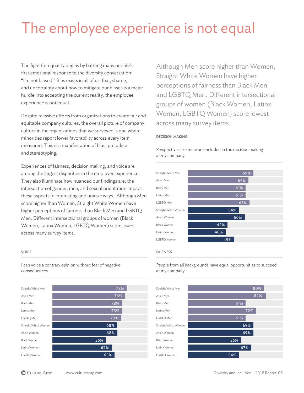## The employee experience is not equal

The fight for equality begins by battling many people's first emotional response to the diversity conversation: "I'm not biased." Bias exists in all of us; fear, shame, and uncertainty about how to mitigate our biases is a major hurdle into accepting the current reality: the employee experience is not equal.

Despite massive efforts from organizations to create fair and equitable company cultures, the overall picture of company culture in the organizations that we surveyed is one where minorities report lower favorability across every item measured. This is a manifestation of bias, prejudice and stereotyping.

Experiences of fairness, decision making, and voice are among the largest disparities in the employee experience. They also illuminate how nuanced our findings are; the intersection of gender, race, and sexual orientation impact these aspects in interesting and unique ways. Although Men score higher than Women, Straight White Women have higher perceptions of fairness than Black Men and LGBTQ Men. Different intersectional groups of women (Black Women, Latinx Women, LGBTQ Women) score lowest across many survey items.

#### VOICE

I can voice a contrary opinion without fear of negative consequences



Although Men score higher than Women, Straight White Women have higher perceptions of fairness than Black Men and LGBTQ Men. Different intersectional groups of women (Black Women, Latinx Women, LGBTQ Women) score lowest across many survey items.

#### DECISION MAKING

Perspectives like mine are included in the decision making at my company



#### FAIRNESS

People from all backgrounds have equal opportunities to succeed at my company

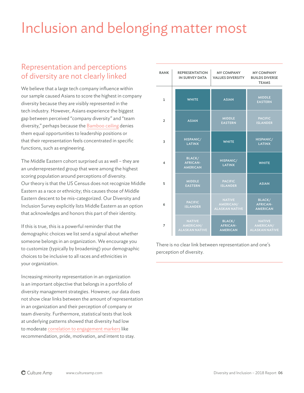# Inclusion and belonging matter most

### Representation and perceptions of diversity are not clearly linked

We believe that a large tech company influence within our sample caused Asians to score the highest in company diversity because they are visibly represented in the tech industry. However, Asians experience the biggest gap between perceived "company diversity" and "team diversity," perhaps because the [Bamboo ceiling](https://hbr.org/2011/08/breaking-through-the-bamboo-ce) denies them equal opportunities to leadership positions or that their representation feels concentrated in specific functions, such as engineering.

The Middle Eastern cohort surprised us as well – they are an underrepresented group that were among the highest scoring population around perceptions of diversity. Our theory is that the US Census does not recognize Middle Eastern as a race or ethnicity; this causes those of Middle Eastern descent to be mis-categorized. Our Diversity and Inclusion Survey explicitly lists Middle Eastern as an option that acknowledges and honors this part of their identity.

If this is true, this is a powerful reminder that the demographic choices we list send a signal about whether someone belongs in an organization. We encourage you to customize (typically by broadening) your demographic choices to be inclusive to all races and ethnicities in your organization.

Increasing minority representation in an organization is an important objective that belongs in a portfolio of diversity management strategies. However, our data does not show clear links between the amount of representation in an organization and their perception of company or team diversity. Furthermore, statistical tests that look at underlying patterns showed that diversity had low to moderate [correlation to engagement markers](https://blog.cultureamp.com/the-roi-of-employee-engagement-and-culture) like recommendation, pride, motivation, and intent to stay.

| <b>RANK</b>    | <b>REPRESENTATION</b><br>IN SURVEY DATA             | <b>MY COMPANY</b><br><b>VALUES DIVERSITY</b>        | <b>MY COMPANY</b><br><b>BUILDS DIVERSE</b><br><b>TEAMS</b> |
|----------------|-----------------------------------------------------|-----------------------------------------------------|------------------------------------------------------------|
| 1              | <b>WHITE</b>                                        | <b>ASIAN</b>                                        | <b>MIDDLE</b><br><b>EASTERN</b>                            |
| $\overline{2}$ | <b>ASIAN</b>                                        | <b>MIDDLE</b><br><b>EASTERN</b>                     | <b>PACIFIC</b><br><b>ISLANDER</b>                          |
| 3              | HISPANIC/<br><b>LATINX</b>                          | <b>WHITE</b>                                        | HISPANIC/<br><b>LATINX</b>                                 |
| 4              | <b>BLACK/</b><br><b>AFRICAN-</b><br><b>AMERICAN</b> | HISPANIC/<br><b>LATINX</b>                          | <b>WHITE</b>                                               |
| 5              | <b>MIDDLE</b><br><b>EASTERN</b>                     | <b>PACIFIC</b><br><b>ISLANDER</b>                   | <b>ASIAN</b>                                               |
| 6              | <b>PACIFIC</b><br><b>ISLANDER</b>                   | <b>NATIVE</b><br>AMERICAN/<br><b>ALASKAN NATIVE</b> | <b>BLACK/</b><br><b>AFRICAN-</b><br><b>AMERICAN</b>        |
| 7              | <b>NATIVE</b><br>AMERICAN/<br><b>ALASKAN NATIVE</b> | BLACK/<br><b>AFRICAN-</b><br><b>AMERICAN</b>        | <b>NATIVE</b><br>AMERICAN/<br><b>ALASKAN NATIVE</b>        |

There is no clear link between representation and one's perception of diversity.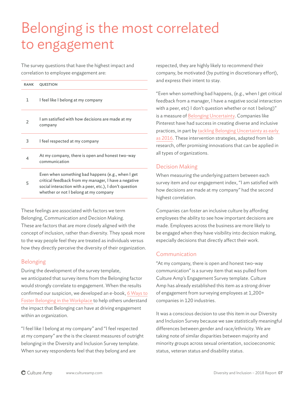# Belonging is the most correlated to engagement

The survey questions that have the highest impact and correlation to employee engagement are:

| <b>RANK</b> | <b>QUESTION</b>                                                                                                                                                                                               |  |  |
|-------------|---------------------------------------------------------------------------------------------------------------------------------------------------------------------------------------------------------------|--|--|
| 1.          | I feel like I belong at my company                                                                                                                                                                            |  |  |
| 2           | I am satisfied with how decisions are made at my<br>company                                                                                                                                                   |  |  |
| 3           | I feel respected at my company                                                                                                                                                                                |  |  |
| 4           | At my company, there is open and honest two-way<br>communication                                                                                                                                              |  |  |
| 5           | Even when something bad happens (e.g., when I get<br>critical feedback from my manager, I have a negative<br>social interaction with a peer, etc.), I don't question<br>whether or not I belong at my company |  |  |

These feelings are associated with factors we term Belonging, Communication and Decision Making. These are factors that are more closely aligned with the concept of inclusion, rather than diversity. They speak more to the way people feel they are treated as individuals versus how they directly perceive the diversity of their organization.

#### Belonging

During the development of the survey template, we anticipated that survey items from the Belonging factor would strongly correlate to engagement. When the results confirmed our suspicion, we developed an e-book, [6 Ways to](http://hello.cultureamp.com/hubfs/1703-Belonging/Culture-Amp_6-ways-to-foster-belonging.pdf) [Foster Belonging in the Workplace t](http://hello.cultureamp.com/hubfs/1703-Belonging/Culture-Amp_6-ways-to-foster-belonging.pdf)o help others understand the impact that Belonging can have at driving engagement within an organization.

"I feel like I belong at my company" and "I feel respected at my company" are the is the clearest measures of outright belonging in the Diversity and Inclusion Survey template. When survey respondents feel that they belong and are

respected, they are highly likely to recommend their company, be motivated (by putting in discretionary effort), and express their intent to stay.

"Even when something bad happens, (e.g., when I get critical feedback from a manager, I have a negative social interaction with a peer, etc) I don't question whether or not I belong)" is a measure of [Belonging Uncertainty.](http://psycnet.apa.org/record/2006-23056-007) Companies like Pinterest have had success in creating diverse and inclusive practices, in part by [tackling Belonging Uncertainty as early](https://techcrunch.com/2016/01/26/pinterest-is-looking-to-tackle-belonging-uncertainty/)  [as 2016.](https://techcrunch.com/2016/01/26/pinterest-is-looking-to-tackle-belonging-uncertainty/) These intervention strategies, adapted from lab research, offer promising innovations that can be applied in all types of organizations.

#### Decision Making

When measuring the underlying pattern between each survey item and our engagement index, "I am satisfied with how decisions are made at my company" had the second highest correlation.

Companies can foster an inclusive culture by affording employees the ability to see how important decisions are made. Employees across the business are more likely to be engaged when they have visibility into decision making, especially decisions that directly affect their work.

#### Communication

"At my company, there is open and honest two-way communication" is a survey item that was pulled from Culture Amp's Engagement Survey template. Culture Amp has already established this item as a strong driver of engagement from surveying employees at 1,200+ companies in 120 industries.

It was a conscious decision to use this item in our Diversity and Inclusion Survey because we saw statistically meaningful differences between gender and race/ethnicity. We are taking note of similar disparities between majority and minority groups across sexual orientation, socioeconomic status, veteran status and disability status.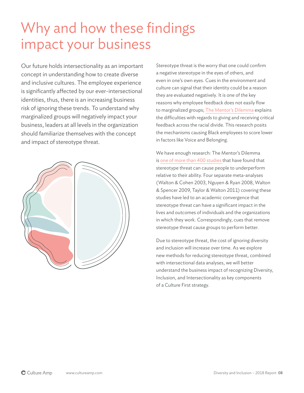### Why and how these findings impact your business

Our future holds intersectionality as an important concept in understanding how to create diverse and inclusive cultures. The employee experience is significantly affected by our ever-intersectional identities, thus, there is an increasing business risk of ignoring these trends. To understand why marginalized groups will negatively impact your business, leaders at all levels in the organization should familiarize themselves with the concept and impact of stereotype threat.



Stereotype threat is the worry that one could confirm a negative stereotype in the eyes of others, and even in one's own eyes. Cues in the environment and culture can signal that their identity could be a reason they are evaluated negatively. It is one of the key reasons why employee feedback does not easily flow to marginalized groups; [The Mentor's Dilemma](https://ed.stanford.edu/sites/default/files/the_mentors_dilemma.pdf) explains the difficulties with regards to giving and receiving critical feedback across the racial divide. This research posits the mechanisms causing Black employees to score lower in factors like Voice and Belonging.

We have enough research: The Mentor's Dilemma is [one of more than 400 studies](https://www.annualreviews.org/doi/abs/10.1146/annurev-orgpsych-032414-111322) that have found that stereotype threat can cause people to underperform relative to their ability. Four separate meta-analyses (Walton & Cohen 2003, Nguyen & Ryan 2008, Walton & Spencer 2009, Taylor & Walton 2011) covering these studies have led to an academic convergence that stereotype threat can have a significant impact in the lives and outcomes of individuals and the organizations in which they work. Correspondingly, cues that remove stereotype threat cause groups to perform better.

Due to stereotype threat, the cost of ignoring diversity and inclusion will increase over time. As we explore new methods for reducing stereotype threat, combined with intersectional data analyses, we will better understand the business impact of recognizing Diversity, Inclusion, and Intersectionality as key components of a Culture First strategy.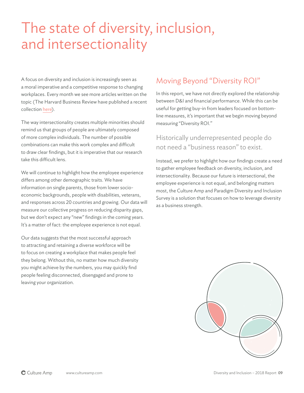### The state of diversity, inclusion, and intersectionality

A focus on diversity and inclusion is increasingly seen as a moral imperative and a competitive response to changing workplaces. Every month we see more articles written on the topic (The Harvard Business Review have published a recent collection [here](https://hbr.org/product/the-latest-research-diversity/DIVRES-PDF-ENG)).

The way intersectionality creates multiple minorities should remind us that groups of people are ultimately composed of more complex individuals. The number of possible combinations can make this work complex and difficult to draw clear findings, but it is imperative that our research take this difficult lens.

We will continue to highlight how the employee experience differs among other demographic traits. We have information on single parents, those from lower socioeconomic backgrounds, people with disabilities, veterans, and responses across 20 countries and growing. Our data will measure our collective progress on reducing disparity gaps, but we don't expect any "new" findings in the coming years. It's a matter of fact: the employee experience is not equal.

Our data suggests that the most successful approach to attracting and retaining a diverse workforce will be to focus on creating a workplace that makes people feel they belong. Without this, no matter how much diversity you might achieve by the numbers, you may quickly find people feeling disconnected, disengaged and prone to leaving your organization.

### Moving Beyond "Diversity ROI"

In this report, we have not directly explored the relationship between D&I and financial performance. While this can be useful for getting buy-in from leaders focused on bottomline measures, it's important that we begin moving beyond measuring "Diversity ROI."

#### Historically underrepresented people do not need a "business reason" to exist.

Instead, we prefer to highlight how our findings create a need to gather employee feedback on diversity, inclusion, and intersectionality. Because our future is intersectional, the employee experience is not equal, and belonging matters most, the Culture Amp and Paradigm Diversity and Inclusion Survey is a solution that focuses on how to leverage diversity as a business strength.